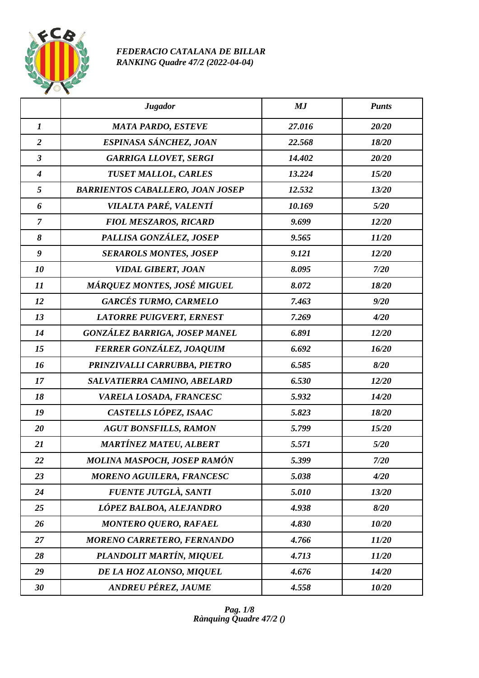

## *FEDERACIO CATALANA DE BILLAR RANKING Quadre 47/2 (2022-04-04)*

|                  | <b>Jugador</b>                          | MJ     | <b>Punts</b> |
|------------------|-----------------------------------------|--------|--------------|
| $\boldsymbol{l}$ | <b>MATA PARDO, ESTEVE</b>               | 27.016 | 20/20        |
| $\overline{2}$   | ESPINASA SÁNCHEZ, JOAN                  | 22.568 | 18/20        |
| $\mathfrak{z}$   | <b>GARRIGA LLOVET, SERGI</b>            | 14.402 | 20/20        |
| $\boldsymbol{4}$ | TUSET MALLOL, CARLES                    | 13.224 | 15/20        |
| 5                | <b>BARRIENTOS CABALLERO, JOAN JOSEP</b> | 12.532 | 13/20        |
| 6                | VILALTA PARÉ, VALENTÍ                   | 10.169 | 5/20         |
| $\overline{7}$   | <b>FIOL MESZAROS, RICARD</b>            | 9.699  | 12/20        |
| 8                | PALLISA GONZÁLEZ, JOSEP                 | 9.565  | 11/20        |
| $\boldsymbol{g}$ | <b>SERAROLS MONTES, JOSEP</b>           | 9.121  | 12/20        |
| 10               | <b>VIDAL GIBERT, JOAN</b>               | 8.095  | 7/20         |
| 11               | MÁRQUEZ MONTES, JOSÉ MIGUEL             | 8.072  | 18/20        |
| 12               | <b>GARCÉS TURMO, CARMELO</b>            | 7.463  | 9/20         |
| 13               | <b>LATORRE PUIGVERT, ERNEST</b>         | 7.269  | 4/20         |
| 14               | <b>GONZÁLEZ BARRIGA, JOSEP MANEL</b>    | 6.891  | 12/20        |
| 15               | FERRER GONZÁLEZ, JOAQUIM                | 6.692  | 16/20        |
| 16               | PRINZIVALLI CARRUBBA, PIETRO            | 6.585  | 8/20         |
| 17               | SALVATIERRA CAMINO, ABELARD             | 6.530  | 12/20        |
| 18               | VARELA LOSADA, FRANCESC                 | 5.932  | 14/20        |
| 19               | CASTELLS LÓPEZ, ISAAC                   | 5.823  | 18/20        |
| 20               | <b>AGUT BONSFILLS, RAMON</b>            | 5.799  | 15/20        |
| 21               | <b>MARTÍNEZ MATEU, ALBERT</b>           | 5.571  | 5/20         |
| 22               | MOLINA MASPOCH, JOSEP RAMÓN             | 5.399  | 7/20         |
| 23               | <b>MORENO AGUILERA, FRANCESC</b>        | 5.038  | 4/20         |
| 24               | FUENTE JUTGLÀ, SANTI                    | 5.010  | 13/20        |
| 25               | LÓPEZ BALBOA, ALEJANDRO                 | 4.938  | 8/20         |
| 26               | <b>MONTERO QUERO, RAFAEL</b>            | 4.830  | 10/20        |
| 27               | <b>MORENO CARRETERO, FERNANDO</b>       | 4.766  | 11/20        |
| 28               | PLANDOLIT MARTÍN, MIQUEL                | 4.713  | 11/20        |
| 29               | DE LA HOZ ALONSO, MIQUEL                | 4.676  | 14/20        |
| 30               | <b>ANDREU PÉREZ, JAUME</b>              | 4.558  | 10/20        |

*Pag. 1/8 Rànquing Quadre 47/2 ()*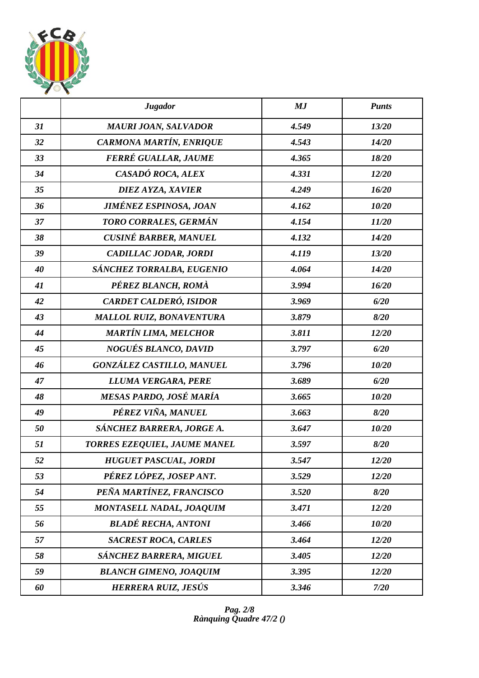

|    | <b>Jugador</b>                   | MJ    | <b>Punts</b> |
|----|----------------------------------|-------|--------------|
| 31 | <b>MAURI JOAN, SALVADOR</b>      | 4.549 | 13/20        |
| 32 | CARMONA MARTÍN, ENRIQUE          | 4.543 | 14/20        |
| 33 | FERRÉ GUALLAR, JAUME             | 4.365 | 18/20        |
| 34 | CASADÓ ROCA, ALEX                | 4.331 | 12/20        |
| 35 | DIEZ AYZA, XAVIER                | 4.249 | 16/20        |
| 36 | <b>JIMÉNEZ ESPINOSA, JOAN</b>    | 4.162 | 10/20        |
| 37 | TORO CORRALES, GERMÁN            | 4.154 | 11/20        |
| 38 | <b>CUSINÉ BARBER, MANUEL</b>     | 4.132 | 14/20        |
| 39 | CADILLAC JODAR, JORDI            | 4.119 | 13/20        |
| 40 | SÁNCHEZ TORRALBA, EUGENIO        | 4.064 | 14/20        |
| 41 | PÉREZ BLANCH, ROMÀ               | 3.994 | 16/20        |
| 42 | <b>CARDET CALDERÓ, ISIDOR</b>    | 3.969 | 6/20         |
| 43 | <b>MALLOL RUIZ, BONAVENTURA</b>  | 3.879 | 8/20         |
| 44 | <b>MARTÍN LIMA, MELCHOR</b>      | 3.811 | 12/20        |
| 45 | <b>NOGUÉS BLANCO, DAVID</b>      | 3.797 | 6/20         |
| 46 | <b>GONZÁLEZ CASTILLO, MANUEL</b> | 3.796 | 10/20        |
| 47 | LLUMA VERGARA, PERE              | 3.689 | 6/20         |
| 48 | MESAS PARDO, JOSÉ MARÍA          | 3.665 | 10/20        |
| 49 | PÉREZ VIÑA, MANUEL               | 3.663 | 8/20         |
| 50 | SÁNCHEZ BARRERA, JORGE A.        | 3.647 | 10/20        |
| 51 | TORRES EZEQUIEL, JAUME MANEL     | 3.597 | 8/20         |
| 52 | <b>HUGUET PASCUAL, JORDI</b>     | 3.547 | 12/20        |
| 53 | PÉREZ LÓPEZ, JOSEP ANT.          | 3.529 | 12/20        |
| 54 | PEÑA MARTÍNEZ, FRANCISCO         | 3.520 | 8/20         |
| 55 | MONTASELL NADAL, JOAQUIM         | 3.471 | 12/20        |
| 56 | <b>BLADÉ RECHA, ANTONI</b>       | 3.466 | 10/20        |
| 57 | <b>SACREST ROCA, CARLES</b>      | 3.464 | 12/20        |
| 58 | SÁNCHEZ BARRERA, MIGUEL          | 3.405 | 12/20        |
| 59 | <b>BLANCH GIMENO, JOAQUIM</b>    | 3.395 | 12/20        |
| 60 | HERRERA RUIZ, JESÚS              | 3.346 | 7/20         |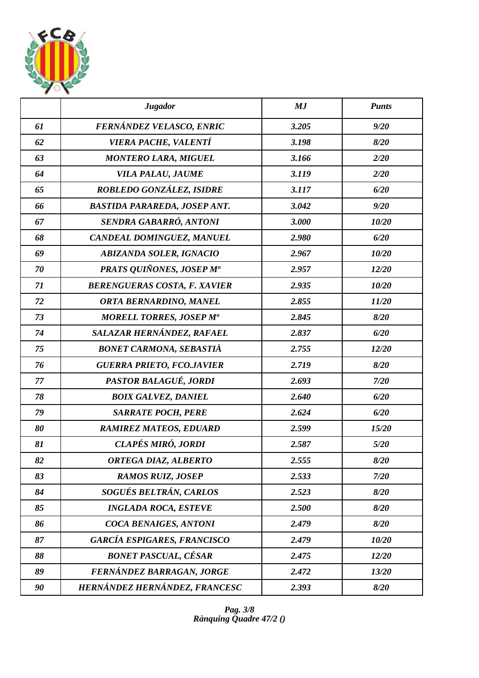

|    | <b>Jugador</b>                      | MJ    | <b>Punts</b> |
|----|-------------------------------------|-------|--------------|
| 61 | FERNÁNDEZ VELASCO, ENRIC            | 3.205 | 9/20         |
| 62 | <b>VIERA PACHE, VALENTÍ</b>         | 3.198 | 8/20         |
| 63 | <b>MONTERO LARA, MIGUEL</b>         | 3.166 | 2/20         |
| 64 | VILA PALAU, JAUME                   | 3.119 | 2/20         |
| 65 | ROBLEDO GONZÁLEZ, ISIDRE            | 3.117 | 6/20         |
| 66 | <b>BASTIDA PARAREDA, JOSEP ANT.</b> | 3.042 | 9/20         |
| 67 | SENDRA GABARRÓ, ANTONI              | 3.000 | 10/20        |
| 68 | CANDEAL DOMINGUEZ, MANUEL           | 2.980 | 6/20         |
| 69 | <b>ABIZANDA SOLER, IGNACIO</b>      | 2.967 | 10/20        |
| 70 | <b>PRATS QUIÑONES, JOSEP Ma</b>     | 2.957 | 12/20        |
| 71 | <b>BERENGUERAS COSTA, F. XAVIER</b> | 2.935 | 10/20        |
| 72 | ORTA BERNARDINO, MANEL              | 2.855 | 11/20        |
| 73 | <b>MORELL TORRES, JOSEP Ma</b>      | 2.845 | 8/20         |
| 74 | SALAZAR HERNÁNDEZ, RAFAEL           | 2.837 | 6/20         |
| 75 | <b>BONET CARMONA, SEBASTIÀ</b>      | 2.755 | 12/20        |
| 76 | <b>GUERRA PRIETO, FCO.JAVIER</b>    | 2.719 | 8/20         |
| 77 | PASTOR BALAGUÉ, JORDI               | 2.693 | 7/20         |
| 78 | <b>BOIX GALVEZ, DANIEL</b>          | 2.640 | 6/20         |
| 79 | <b>SARRATE POCH, PERE</b>           | 2.624 | 6/20         |
| 80 | <b>RAMIREZ MATEOS, EDUARD</b>       | 2.599 | 15/20        |
| 81 | CLAPÉS MIRÓ, JORDI                  | 2.587 | 5/20         |
| 82 | ORTEGA DIAZ, ALBERTO                | 2.555 | 8/20         |
| 83 | <b>RAMOS RUIZ, JOSEP</b>            | 2.533 | 7/20         |
| 84 | SOGUÉS BELTRÁN, CARLOS              | 2.523 | 8/20         |
| 85 | <b>INGLADA ROCA, ESTEVE</b>         | 2.500 | 8/20         |
| 86 | COCA BENAIGES, ANTONI               | 2.479 | 8/20         |
| 87 | <b>GARCÍA ESPIGARES, FRANCISCO</b>  | 2.479 | 10/20        |
| 88 | <b>BONET PASCUAL, CÉSAR</b>         | 2.475 | 12/20        |
| 89 | FERNÁNDEZ BARRAGAN, JORGE           | 2.472 | 13/20        |
| 90 | HERNÁNDEZ HERNÁNDEZ, FRANCESC       | 2.393 | 8/20         |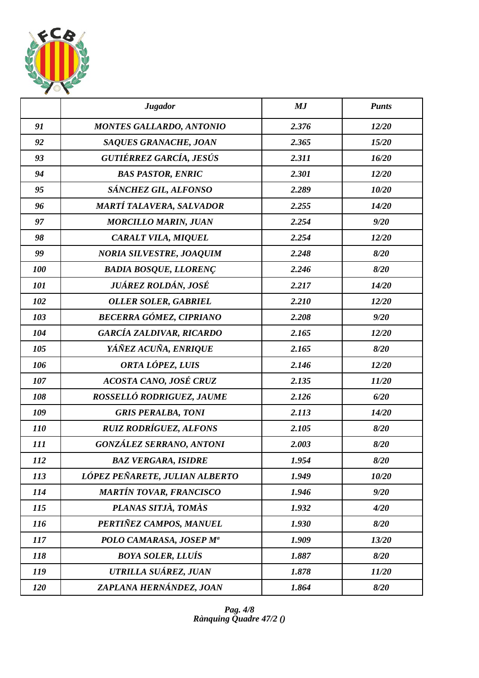

|            | <b>Jugador</b>                  | MJ    | <b>Punts</b> |
|------------|---------------------------------|-------|--------------|
| 91         | <b>MONTES GALLARDO, ANTONIO</b> | 2.376 | 12/20        |
| 92         | SAQUES GRANACHE, JOAN           | 2.365 | 15/20        |
| 93         | <b>GUTIÉRREZ GARCÍA, JESÚS</b>  | 2.311 | 16/20        |
| 94         | <b>BAS PASTOR, ENRIC</b>        | 2.301 | 12/20        |
| 95         | SÁNCHEZ GIL, ALFONSO            | 2.289 | 10/20        |
| 96         | MARTÍ TALAVERA, SALVADOR        | 2.255 | 14/20        |
| 97         | <b>MORCILLO MARIN, JUAN</b>     | 2.254 | 9/20         |
| 98         | CARALT VILA, MIQUEL             | 2.254 | 12/20        |
| 99         | <b>NORIA SILVESTRE, JOAQUIM</b> | 2.248 | 8/20         |
| 100        | <b>BADIA BOSQUE, LLORENÇ</b>    | 2.246 | 8/20         |
| 101        | JUÁREZ ROLDÁN, JOSÉ             | 2.217 | 14/20        |
| 102        | <b>OLLER SOLER, GABRIEL</b>     | 2.210 | 12/20        |
| 103        | <b>BECERRA GÓMEZ, CIPRIANO</b>  | 2.208 | 9/20         |
| 104        | <b>GARCÍA ZALDIVAR, RICARDO</b> | 2.165 | 12/20        |
| 105        | YÁÑEZ ACUÑA, ENRIQUE            | 2.165 | 8/20         |
| 106        | ORTA LÓPEZ, LUIS                | 2.146 | 12/20        |
| 107        | ACOSTA CANO, JOSÉ CRUZ          | 2.135 | 11/20        |
| 108        | ROSSELLÓ RODRIGUEZ, JAUME       | 2.126 | 6/20         |
| 109        | <b>GRIS PERALBA, TONI</b>       | 2.113 | 14/20        |
| <i>110</i> | <b>RUIZ RODRÍGUEZ, ALFONS</b>   | 2.105 | 8/20         |
| 111        | <b>GONZÁLEZ SERRANO, ANTONI</b> | 2.003 | 8/20         |
| 112        | <b>BAZ VERGARA, ISIDRE</b>      | 1.954 | 8/20         |
| 113        | LÓPEZ PEÑARETE, JULIAN ALBERTO  | 1.949 | 10/20        |
| 114        | <b>MARTÍN TOVAR, FRANCISCO</b>  | 1.946 | 9/20         |
| 115        | PLANAS SITJÀ, TOMÀS             | 1.932 | 4/20         |
| 116        | PERTIÑEZ CAMPOS, MANUEL         | 1.930 | 8/20         |
| 117        | POLO CAMARASA, JOSEP Mª         | 1.909 | 13/20        |
| 118        | <b>BOYA SOLER, LLUÍS</b>        | 1.887 | 8/20         |
| 119        | UTRILLA SUÁREZ, JUAN            | 1.878 | 11/20        |
| 120        | ZAPLANA HERNÁNDEZ, JOAN         | 1.864 | 8/20         |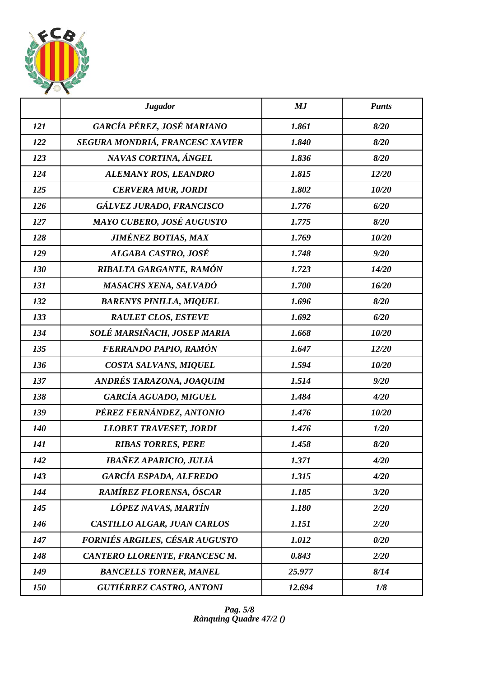

|            | <b>Jugador</b>                  | MJ     | <b>Punts</b> |
|------------|---------------------------------|--------|--------------|
| 121        | GARCÍA PÉREZ, JOSÉ MARIANO      | 1.861  | 8/20         |
| 122        | SEGURA MONDRIÁ, FRANCESC XAVIER | 1.840  | 8/20         |
| 123        | NAVAS CORTINA, ÁNGEL            | 1.836  | 8/20         |
| 124        | ALEMANY ROS, LEANDRO            | 1.815  | 12/20        |
| 125        | <b>CERVERA MUR, JORDI</b>       | 1.802  | 10/20        |
| 126        | GÁLVEZ JURADO, FRANCISCO        | 1.776  | 6/20         |
| 127        | MAYO CUBERO, JOSÉ AUGUSTO       | 1.775  | 8/20         |
| 128        | <b>JIMÉNEZ BOTIAS, MAX</b>      | 1.769  | 10/20        |
| 129        | ALGABA CASTRO, JOSÉ             | 1.748  | 9/20         |
| 130        | RIBALTA GARGANTE, RAMÓN         | 1.723  | 14/20        |
| 131        | <b>MASACHS XENA, SALVADÓ</b>    | 1.700  | 16/20        |
| 132        | <b>BARENYS PINILLA, MIQUEL</b>  | 1.696  | 8/20         |
| 133        | <b>RAULET CLOS, ESTEVE</b>      | 1.692  | 6/20         |
| 134        | SOLÉ MARSIÑACH, JOSEP MARIA     | 1.668  | 10/20        |
| 135        | FERRANDO PAPIO, RAMÓN           | 1.647  | 12/20        |
| 136        | COSTA SALVANS, MIQUEL           | 1.594  | 10/20        |
| 137        | ANDRÉS TARAZONA, JOAQUIM        | 1.514  | 9/20         |
| 138        | <b>GARCÍA AGUADO, MIGUEL</b>    | 1.484  | 4/20         |
| 139        | PÉREZ FERNÁNDEZ, ANTONIO        | 1.476  | 10/20        |
| <b>140</b> | <b>LLOBET TRAVESET, JORDI</b>   | 1.476  | 1/20         |
| 141        | <b>RIBAS TORRES, PERE</b>       | 1.458  | 8/20         |
| 142        | IBAÑEZ APARICIO, JULIÀ          | 1.371  | 4/20         |
| 143        | <b>GARCÍA ESPADA, ALFREDO</b>   | 1.315  | 4/20         |
| 144        | <b>RAMÍREZ FLORENSA, ÓSCAR</b>  | 1.185  | 3/20         |
| 145        | LÓPEZ NAVAS, MARTÍN             | 1.180  | 2/20         |
| 146        | CASTILLO ALGAR, JUAN CARLOS     | 1.151  | 2/20         |
| 147        | FORNIÉS ARGILES, CÉSAR AUGUSTO  | 1.012  | 0/20         |
| 148        | CANTERO LLORENTE, FRANCESC M.   | 0.843  | 2/20         |
| 149        | <b>BANCELLS TORNER, MANEL</b>   | 25.977 | 8/14         |
| 150        | <b>GUTIÉRREZ CASTRO, ANTONI</b> | 12.694 | 1/8          |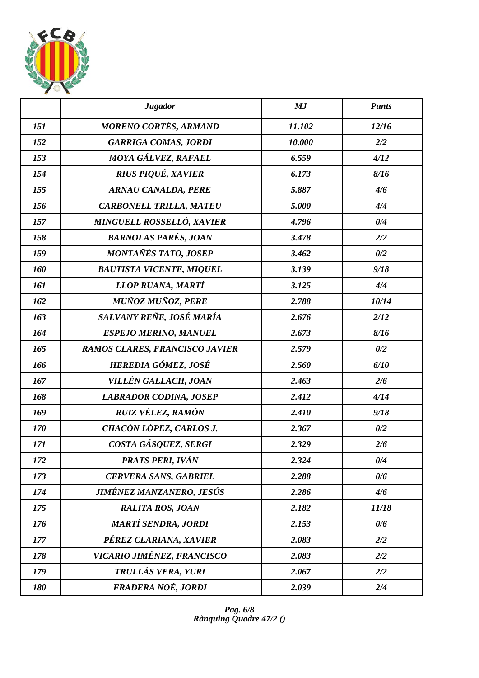

|     | <b>Jugador</b>                   | MJ     | <b>Punts</b> |
|-----|----------------------------------|--------|--------------|
| 151 | <b>MORENO CORTÉS, ARMAND</b>     | 11.102 | 12/16        |
| 152 | <b>GARRIGA COMAS, JORDI</b>      | 10.000 | 2/2          |
| 153 | MOYA GÁLVEZ, RAFAEL              | 6.559  | 4/12         |
| 154 | RIUS PIQUÉ, XAVIER               | 6.173  | 8/16         |
| 155 | <b>ARNAU CANALDA, PERE</b>       | 5.887  | 4/6          |
| 156 | <b>CARBONELL TRILLA, MATEU</b>   | 5.000  | 4/4          |
| 157 | <b>MINGUELL ROSSELLÓ, XAVIER</b> | 4.796  | 0/4          |
| 158 | <b>BARNOLAS PARÉS, JOAN</b>      | 3.478  | 2/2          |
| 159 | MONTAÑÉS TATO, JOSEP             | 3.462  | 0/2          |
| 160 | <b>BAUTISTA VICENTE, MIQUEL</b>  | 3.139  | 9/18         |
| 161 | LLOP RUANA, MARTÍ                | 3.125  | 4/4          |
| 162 | <b>MUÑOZ MUÑOZ, PERE</b>         | 2.788  | 10/14        |
| 163 | SALVANY REÑE, JOSÉ MARÍA         | 2.676  | 2/12         |
| 164 | <b>ESPEJO MERINO, MANUEL</b>     | 2.673  | 8/16         |
| 165 | RAMOS CLARES, FRANCISCO JAVIER   | 2.579  | 0/2          |
| 166 | HEREDIA GÓMEZ, JOSÉ              | 2.560  | 6/10         |
| 167 | VILLÉN GALLACH, JOAN             | 2.463  | 2/6          |
| 168 | <b>LABRADOR CODINA, JOSEP</b>    | 2.412  | 4/14         |
| 169 | RUIZ VÉLEZ, RAMÓN                | 2.410  | 9/18         |
| 170 | CHACÓN LÓPEZ, CARLOS J.          | 2.367  | 0/2          |
| 171 | COSTA GÁSQUEZ, SERGI             | 2.329  | 2/6          |
| 172 | PRATS PERI, IVÁN                 | 2.324  | 0/4          |
| 173 | <b>CERVERA SANS, GABRIEL</b>     | 2.288  | 0/6          |
| 174 | JIMÉNEZ MANZANERO, JESÚS         | 2.286  | 4/6          |
| 175 | <b>RALITA ROS, JOAN</b>          | 2.182  | 11/18        |
| 176 | <b>MARTÍ SENDRA, JORDI</b>       | 2.153  | 0/6          |
| 177 | PÉREZ CLARIANA, XAVIER           | 2.083  | 2/2          |
| 178 | VICARIO JIMÉNEZ, FRANCISCO       | 2.083  | 2/2          |
| 179 | TRULLÁS VERA, YURI               | 2.067  | 2/2          |
| 180 | FRADERA NOÉ, JORDI               | 2.039  | 2/4          |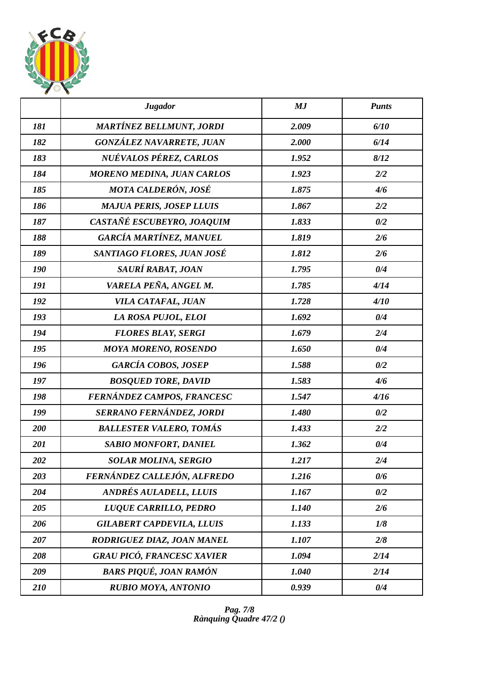

|     | <b>Jugador</b>                    | MJ    | <b>Punts</b> |
|-----|-----------------------------------|-------|--------------|
| 181 | <b>MARTÍNEZ BELLMUNT, JORDI</b>   | 2.009 | 6/10         |
| 182 | GONZÁLEZ NAVARRETE, JUAN          | 2.000 | 6/14         |
| 183 | NUÉVALOS PÉREZ, CARLOS            | 1.952 | 8/12         |
| 184 | <b>MORENO MEDINA, JUAN CARLOS</b> | 1.923 | 2/2          |
| 185 | <b>MOTA CALDERÓN, JOSÉ</b>        | 1.875 | 4/6          |
| 186 | <b>MAJUA PERIS, JOSEP LLUIS</b>   | 1.867 | 2/2          |
| 187 | CASTAÑÉ ESCUBEYRO, JOAQUIM        | 1.833 | 0/2          |
| 188 | <b>GARCÍA MARTÍNEZ, MANUEL</b>    | 1.819 | 2/6          |
| 189 | SANTIAGO FLORES, JUAN JOSÉ        | 1.812 | 2/6          |
| 190 | SAURÍ RABAT, JOAN                 | 1.795 | 0/4          |
| 191 | VARELA PEÑA, ANGEL M.             | 1.785 | 4/14         |
| 192 | VILA CATAFAL, JUAN                | 1.728 | 4/10         |
| 193 | LA ROSA PUJOL, ELOI               | 1.692 | 0/4          |
| 194 | <b>FLORES BLAY, SERGI</b>         | 1.679 | 2/4          |
| 195 | <b>MOYA MORENO, ROSENDO</b>       | 1.650 | 0/4          |
| 196 | <b>GARCÍA COBOS, JOSEP</b>        | 1.588 | 0/2          |
| 197 | <b>BOSQUED TORE, DAVID</b>        | 1.583 | 4/6          |
| 198 | FERNÁNDEZ CAMPOS, FRANCESC        | 1.547 | 4/16         |
| 199 | SERRANO FERNÁNDEZ, JORDI          | 1.480 | 0/2          |
| 200 | <b>BALLESTER VALERO, TOMÁS</b>    | 1.433 | 2/2          |
| 201 | <b>SABIO MONFORT, DANIEL</b>      | 1.362 | 0/4          |
| 202 | <b>SOLAR MOLINA, SERGIO</b>       | 1.217 | 2/4          |
| 203 | FERNÁNDEZ CALLEJÓN, ALFREDO       | 1.216 | 0/6          |
| 204 | <b>ANDRÉS AULADELL, LLUIS</b>     | 1.167 | 0/2          |
| 205 | LUQUE CARRILLO, PEDRO             | 1.140 | 2/6          |
| 206 | <b>GILABERT CAPDEVILA, LLUIS</b>  | 1.133 | 1/8          |
| 207 | RODRIGUEZ DIAZ, JOAN MANEL        | 1.107 | 2/8          |
| 208 | <b>GRAU PICÓ, FRANCESC XAVIER</b> | 1.094 | 2/14         |
| 209 | <b>BARS PIQUÉ, JOAN RAMÓN</b>     | 1.040 | 2/14         |
| 210 | <b>RUBIO MOYA, ANTONIO</b>        | 0.939 | 0/4          |